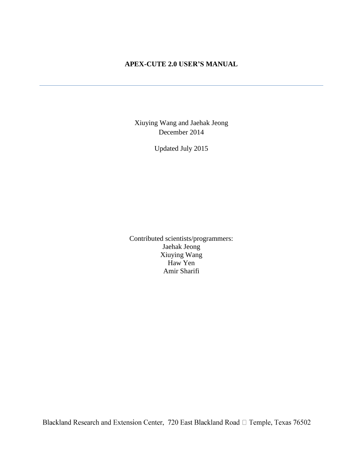# **APEX-CUTE 2.0 USER'S MANUAL**

Xiuying Wang and Jaehak Jeong December 2014

Updated July 2015

Contributed scientists/programmers: Jaehak Jeong Xiuying Wang Haw Yen Amir Sharifi

Blackland Research and Extension Center, 720 East Blackland Road  $\Box$  Temple, Texas 76502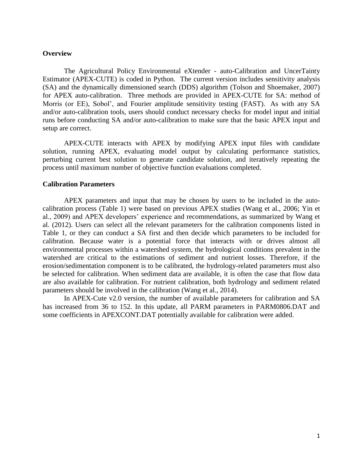#### **Overview**

The Agricultural Policy Environmental eXtender - auto-Calibration and UncerTainty Estimator (APEX-CUTE) is coded in Python. The current version includes sensitivity analysis (SA) and the dynamically dimensioned search (DDS) algorithm (Tolson and Shoemaker, 2007) for APEX auto-calibration. Three methods are provided in APEX-CUTE for SA: method of Morris (or EE), Sobol', and Fourier amplitude sensitivity testing (FAST). As with any SA and/or auto-calibration tools, users should conduct necessary checks for model input and initial runs before conducting SA and/or auto-calibration to make sure that the basic APEX input and setup are correct.

APEX-CUTE interacts with APEX by modifying APEX input files with candidate solution, running APEX, evaluating model output by calculating performance statistics, perturbing current best solution to generate candidate solution, and iteratively repeating the process until maximum number of objective function evaluations completed.

#### **Calibration Parameters**

APEX parameters and input that may be chosen by users to be included in the autocalibration process (Table 1) were based on previous APEX studies (Wang et al., 2006; Yin et al., 2009) and APEX developers' experience and recommendations, as summarized by Wang et al. (2012). Users can select all the relevant parameters for the calibration components listed in Table 1, or they can conduct a SA first and then decide which parameters to be included for calibration. Because water is a potential force that interacts with or drives almost all environmental processes within a watershed system, the hydrological conditions prevalent in the watershed are critical to the estimations of sediment and nutrient losses. Therefore, if the erosion/sedimentation component is to be calibrated, the hydrology-related parameters must also be selected for calibration. When sediment data are available, it is often the case that flow data are also available for calibration. For nutrient calibration, both hydrology and sediment related parameters should be involved in the calibration (Wang et al., 2014).

In APEX-Cute v2.0 version, the number of available parameters for calibration and SA has increased from 36 to 152. In this update, all PARM parameters in PARM0806.DAT and some coefficients in APEXCONT.DAT potentially available for calibration were added.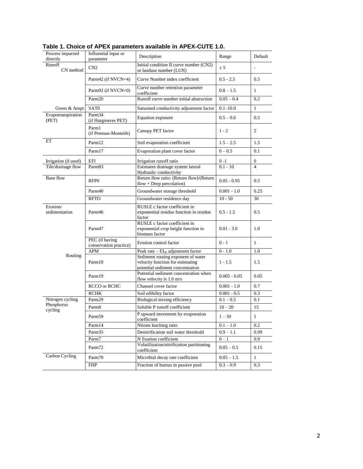| Process impacted<br>directly   | Influential input or<br>parameter        | Description                                                                                                | Range          | Default                 |
|--------------------------------|------------------------------------------|------------------------------------------------------------------------------------------------------------|----------------|-------------------------|
| Runoff<br>CN method            | CN2                                      | Initial condition II curve number (CN2)<br>or landuse number (LUN)                                         | ± 5            |                         |
|                                | Parm42 (if NVCN=4)                       | Curve Number index coefficient                                                                             | $0.5 - 2.5$    | 0.5                     |
|                                | Parm92 (if $NVCN=0$ )                    | Curve number retention parameter<br>coefficient                                                            | $0.8 - 1.5$    | $\mathbf{1}$            |
|                                | Parm <sub>20</sub>                       | Runoff curve number initial abstraction                                                                    | $0.05 - 0.4$   | 0.2                     |
| Green & Ampt                   | SAT <sub>0</sub>                         | Saturated conductivity adjustment factor                                                                   | $0.1 - 10.0$   | $\mathbf{1}$            |
| Evapotranspiration<br>(PET)    | Parm34<br>(if Hargreaves PET)            | Equation exponent                                                                                          | $0.5 - 0.6$    | 0.5                     |
|                                | Parm1<br>(if Penman-Monteith)            | Canopy PET factor                                                                                          | $1 - 2$        | 2                       |
| ET                             | Parm12                                   | Soil evaporation coefficient                                                                               | $1.5 - 2.5$    | 1.5                     |
|                                | Parm17                                   | Evaporation plant cover factor                                                                             | $0 - 0.5$      | 0.1                     |
| Irrigation (if used)           | EFI                                      | Irrigation runoff ratio                                                                                    | $0 - 1$        | 0                       |
| Tile/drainage flow             | Parm <sub>83</sub>                       | Estimates drainage system lateral                                                                          | $0.1 - 10$     | $\overline{\mathbf{4}}$ |
| <b>Base flow</b>               | RFP <sub>0</sub>                         | Hydraulic conductivity<br>Return flow ratio: (Return flow)/(Return<br>$flow + Deep percolation)$           | $0.05 - 0.95$  | 0.5                     |
|                                | Parm40                                   | Groundwater storage threshold                                                                              | $0.001 - 1.0$  | 0.25                    |
|                                | <b>RFTO</b>                              | Groundwater residence day                                                                                  | $10 - 50$      | 30                      |
| Erosion/<br>sedimentation      | Parm46                                   | RUSLE c factor coefficient in<br>exponential residue function in residue<br>factor                         | $0.5 - 1.5$    | 0.5                     |
|                                | Parm47                                   | RUSLE c factor coefficient in<br>exponential crop height function in<br>biomass factor                     | $0.01 - 3.0$   | 1.0                     |
|                                | PEC (if having<br>conservation practice) | Erosion control factor                                                                                     | $0 - 1$        | $\mathbf{1}$            |
|                                | <b>APM</b>                               | Peak rate $- EI_{30}$ adjustment factor                                                                    | $0 - 1.0$      | 1.0                     |
| Routing                        | Parm18                                   | Sediment routing exponent of water<br>velocity function for estimating<br>potential sediment concentration | $1 - 1.5$      | 1.5                     |
|                                | Parm19                                   | Potential sediment concentration when<br>flow velocity is 1.0 m/s                                          | $0.005 - 0.05$ | 0.05                    |
|                                | RCCO or RCHC                             | Channel cover factor                                                                                       | $0.001 - 1.0$  | 0.7                     |
|                                | <b>RCHK</b>                              | Soil edibility factor                                                                                      | $0.001 - 0.5$  | 0.3                     |
| Nitrogen cycling<br>Phosphorus | Parm29                                   | Biological mixing efficiency                                                                               | $0.1 - 0.5$    | 0.1                     |
| cycling                        | Parm <sub>8</sub>                        | Soluble P runoff coefficient                                                                               | $10 - 20$      | 15                      |
|                                | Parm59                                   | P upward movement by evaporation<br>coefficient                                                            | $1 - 30$       | $\mathbf{1}$            |
|                                | Parm14                                   | Nitrate leaching ratio                                                                                     | $0.1 - 1.0$    | 0.2                     |
|                                | Parm35                                   | Denitrification soil water threshold                                                                       | $0.9 - 1.1$    | 0.99                    |
|                                | Parm7                                    | N fixation coefficient                                                                                     | $0 - 1$        | 0.9                     |
|                                | Parm72                                   | Volatilization/nitrification partitioning<br>coefficient                                                   | $0.05 - 0.5$   | 0.15                    |
| Carbon Cycling                 | Parm70                                   | Microbial decay rate coefficient                                                                           | $0.05 - 1.5$   | $\mathbf{1}$            |
|                                | <b>FHP</b>                               | Fraction of humus in passive pool                                                                          | $0.3 - 0.9$    | 0.3                     |
|                                |                                          |                                                                                                            |                |                         |

## **Table 1. Choice of APEX parameters available in APEX-CUTE 1.0.**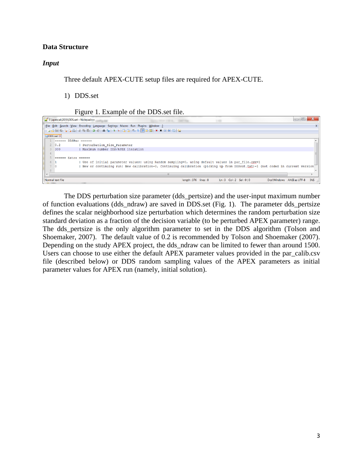### **Data Structure**

### *Input*

Three default APEX-CUTE setup files are required for APEX-CUTE.

- 1) DDS.set
	- Figure 1. Example of the DDS.set file.

|              | E:\apexcal\DDS\DDS.set - Notepad++ |                                                                                                                               |                             |                            |  | $\Box$ $\Box$             | $\mathbf{x}$ |
|--------------|------------------------------------|-------------------------------------------------------------------------------------------------------------------------------|-----------------------------|----------------------------|--|---------------------------|--------------|
|              |                                    | File Edit Search View Encoding Language Settings Macro Run Plugins Window ?                                                   |                             |                            |  |                           |              |
|              |                                    | 8 8 8 8 8 8 8 4 8 8 9 6 8 9 8 8 8 8 8 9 9 8 8 8 8 8 8                                                                         |                             |                            |  |                           |              |
|              | <b>E DDS.set E3</b>                |                                                                                                                               |                             |                            |  |                           |              |
|              | DDSPar<br><b>COSTOCO</b>           | <b>CODDED</b>                                                                                                                 |                             |                            |  |                           |              |
|              | 0.2                                | Perturbation Size Parameter                                                                                                   |                             |                            |  |                           |              |
| 3            | 300                                | Maximum number DDS/APEX iteration                                                                                             |                             |                            |  |                           |              |
| 4            |                                    |                                                                                                                               |                             |                            |  |                           |              |
|              | ======                             | $Extra$ ======                                                                                                                |                             |                            |  |                           |              |
|              |                                    | Use of initial parameter values: using Random sampling=0, using default values in par file.csy=1                              |                             |                            |  |                           |              |
|              |                                    | New or continuing run: New calibration=0, Continuing calibration (picking up from DDSout.txt)=1 (not coded in current version |                             |                            |  |                           |              |
| $\mathbf{R}$ |                                    |                                                                                                                               |                             |                            |  |                           |              |
|              |                                    |                                                                                                                               | 1111                        |                            |  |                           |              |
|              | Normal text file                   |                                                                                                                               | $l$ enath: 376 $l$ lines: 8 | $Ln:3$ Col: $2$ Sel: $0 0$ |  | Dos\Windows ANSI as UTF-8 | <b>INS</b>   |

The DDS perturbation size parameter (dds\_pertsize) and the user-input maximum number of function evaluations (dds\_ndraw) are saved in DDS.set (Fig. 1). The parameter dds\_pertsize defines the scalar neighborhood size perturbation which determines the random perturbation size standard deviation as a fraction of the decision variable (to be perturbed APEX parameter) range. The dds\_pertsize is the only algorithm parameter to set in the DDS algorithm (Tolson and Shoemaker, 2007). The default value of 0.2 is recommended by Tolson and Shoemaker (2007). Depending on the study APEX project, the dds\_ndraw can be limited to fewer than around 1500. Users can choose to use either the default APEX parameter values provided in the par\_calib.csv file (described below) or DDS random sampling values of the APEX parameters as initial parameter values for APEX run (namely, initial solution).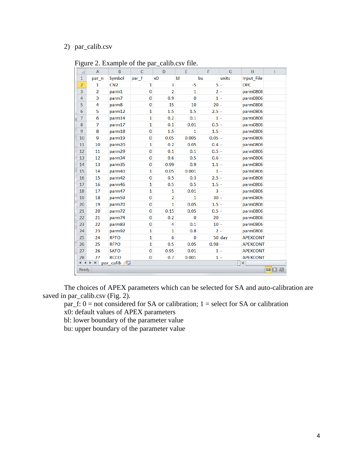# 2) par\_calib.csv

|  |  |  |  | Figure 2. Example of the par_calib.csv file. |  |
|--|--|--|--|----------------------------------------------|--|
|--|--|--|--|----------------------------------------------|--|

| ⊿              | $\overline{A}$             | B               | $\mathsf{C}$ | D              | E            | F        | G        | H               |     |
|----------------|----------------------------|-----------------|--------------|----------------|--------------|----------|----------|-----------------|-----|
| $\mathbf{1}$   | par n                      | Symbol          | par_f        | x <sub>0</sub> | bl           | bu       | units    | Input File      |     |
| $\overline{a}$ | 1                          | CN <sub>2</sub> | $\mathbf{1}$ | 3              | $-5$         | $5 -$    |          | <b>OPC</b>      |     |
| $\overline{3}$ | $\overline{2}$             | parm1           | $\bf{0}$     | $\overline{2}$ | $\mathbf{1}$ | $2 -$    |          | parm0806        |     |
| $\overline{4}$ | 3                          | parm7           | $\bf{0}$     | 0.9            | $\bf{0}$     | $1 -$    |          | parm0806        |     |
| 5              | 4                          | parm8           | $\bf{0}$     | 15             | 10           | $20 -$   |          | parm0806        |     |
| 6              | 5                          | parm12          | 1            | 1.5            | 1.5          | $2.5 -$  |          | parm0806        |     |
| $\overline{7}$ | 6                          | parm14          | $\mathbf{1}$ | 0.2            | 0.1          | $1 -$    |          | parm0806        |     |
| 8              | 7                          | parm17          | 1            | 0.1            | 0.01         | $0.5 -$  |          | parm0806        |     |
| $\overline{9}$ | 8                          | parm18          | $\bf{0}$     | 1.5            | $\mathbf{1}$ | $1.5 -$  |          | parm0806        |     |
| 10             | 9                          | parm19          | $\bf{0}$     | 0.05           | 0.005        | $0.05 -$ |          | parm0806        |     |
| 11             | 10                         | parm20          | $\mathbf{1}$ | 0.2            | 0.05         | $0.4 -$  |          | parm0806        |     |
| 12             | 11                         | parm29          | $\bf{0}$     | 0.1            | 0.1          | $0.5 -$  |          | parm0806        |     |
| 13             | 12                         | parm34          | $\bf{0}$     | 0.6            | 0.5          | $0.6 -$  |          | parm0806        |     |
| 14             | 13                         | parm35          | $\bf{0}$     | 0.99           | 0.9          | $1.1 -$  |          | parm0806        |     |
| 15             | 14                         | parm40          | $\mathbf{1}$ | 0.05           | 0.001        | $1 -$    |          | parm0806        |     |
| 16             | 15                         | parm42          | 0            | 0.5            | 0.3          | $2.5 -$  |          | parm0806        |     |
| 17             | 16                         | parm46          | 1            | 0.5            | 0.5          | $1.5 -$  |          | parm0806        |     |
| 18             | 17                         | parm47          | 1            | 1              | 0.01         | $3 -$    |          | parm0806        |     |
| 19             | 18                         | parm59          | $\bf{0}$     | $\overline{2}$ | $\mathbf{1}$ | $30 -$   |          | parm0806        |     |
| 20             | 19                         | parm70          | $\bf{0}$     | $\mathbf{1}$   | 0.05         | $1.5 -$  |          | parm0806        |     |
| 21             | 20                         | parm72          | $\bf{0}$     | 0.15           | 0.05         | $0.5 -$  |          | parm0806        |     |
| 22             | 21                         | parm74          | $\bf{0}$     | 0.2            | $\bf{0}$     | $20 -$   |          | parm0806        |     |
| 23             | 22                         | parm83          | $\bf{0}$     | 4              | 0.1          | $10 -$   |          | parm0806        |     |
| 24             | 23                         | parm92          | $\mathbf{1}$ | $\mathbf{1}$   | 0.8          | $2 -$    |          | parm0806        |     |
| 25             | 24                         | <b>RFTO</b>     | 1            | 6              | $\bf{0}$     |          | $50$ day | <b>APEXCONT</b> |     |
| 26             | 25                         | <b>RFPO</b>     | $\mathbf{1}$ | 0.5            | 0.05         | $0.98 -$ |          | <b>APEXCONT</b> |     |
| 27             | 26                         | <b>SATO</b>     | 0            | 0.95           | 0.01         | $1 -$    |          | <b>APEXCONT</b> |     |
| 28             | 27                         | <b>RCCO</b>     | $\bf{0}$     | 0.7            | 0.001        | $1 -$    |          | <b>APEXCONT</b> |     |
| $M - 4$        | k<br>$\blacktriangleright$ | par_calib       |              |                |              |          | Π        | ◀               |     |
| Ready          |                            |                 |              |                |              |          |          |                 | 田回凹 |

The choices of APEX parameters which can be selected for SA and auto-calibration are saved in par\_calib.csv (Fig. 2).

par\_f:  $0 = not considered for SA or calibration; 1 = select for SA or calibration$ 

x0: default values of APEX parameters

bl: lower boundary of the parameter value

bu: upper boundary of the parameter value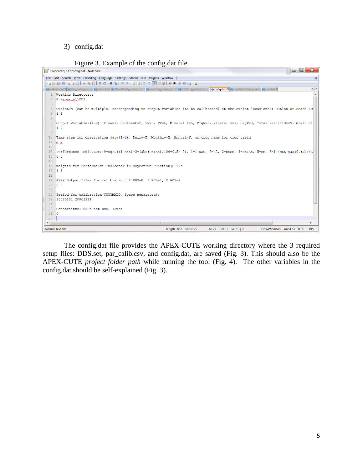### 3) config.dat

|  | Figure 3. Example of the config.dat file. |  |  |
|--|-------------------------------------------|--|--|
|  |                                           |  |  |

```
E:\apexcal\DDS\config.dat - Notepad++
                                                                                                                                         File Edit Search View Encoding Language Settings Macro Run Plugins Window ?
                                                                                                                                                       \boldsymbol{\mathsf{X}}. BBB B B G A | X G 6 | D C | # 4x | 3 3 | B 5 | 5 1 | F 8 8 | 8 | 8 | 8 | 8 | 8
日statistics.m [2] 日sim_settings.m [2] 日dds.out [2] ModelPerf_optimal bt [2] 日errorOut_optimal bt [3] 日DDSOut_optimal bt [2] <mark>日 oonfig.dat [3] 日 m</mark>odPerf-Copy.out [2] <mark>日 nundat [3]</mark>
                                                                                                                                                     \leftarrow1 Working Directory:
                                                                                                                                                       A
   2 E:\apexcal\DDS
  4 Outlet/s (can be multiple, corresponding to output variables [to be calibrated] at the outlet locations): Outlet or Reach ID
  5\quad 1\quad 16\overline{6}7 Output Variables (1-9): Flow=1, Sediment=2, TN=3, TP=4, Mineral N=5, OrgN=6, Mineral P=7, OrgP=8, Total Pesticide=9, Grain Yi
  8 1 2
  10 Time step for observation data(1-3): Daily=D, Monthly=M, Annual=Y, or crop name for crop yield
  11 \mod m1213 Performance Indicator: 0=sqrt((1-NSE)^2+(abs(PBIAS)/100+0.5)^2), 1=1-NSE, 2=R2, 3=RMSE, 4=PBIAS, 5=RE, 6=1-(NSE-max(0,(abs(R
  14 0 015
  16 Weights for Performance Indicator in Objective Function (0-1):
  17 1 1
  18\,19 APEX Output files for calibration: *. DWS=0, *. RCH=1, *. ACY=2
  20 \t 0 \t 02122 Period for calibration (YYYYMMDD, Space separated):
  23 20030101 20061231
  24
  25 Constraints: 0=Do not use, 1=use
 26<sub>0</sub>27\mathbb HLn:27 Col:1 Sel:0|0
                                                                                                                         Dos\Windows ANSI as UTF-8
                                                                                                                                                    INS
Normal text file
                                                                    length: 867 lines: 29
```
The config.dat file provides the APEX-CUTE working directory where the 3 required setup files: DDS.set, par\_calib.csv, and config.dat, are saved (Fig. 3). This should also be the APEX-CUTE *project folder path* while running the tool (Fig. 4). The other variables in the config.dat should be self-explained (Fig. 3).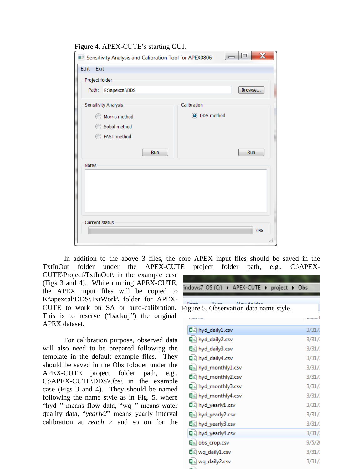#### Figure 4. APEX-CUTE's starting GUI.

|                       | Sensitivity Analysis and Calibration Tool for APEX0806 |              | e<br>$\Box$ | $\mathbf x$ |
|-----------------------|--------------------------------------------------------|--------------|-------------|-------------|
| Edit Exit             |                                                        |              |             |             |
| Project folder        |                                                        |              |             |             |
| Path:                 | E:\apexcal\DDS                                         |              | Browse      |             |
|                       | Sensitivity Analysis                                   | Calibration  |             |             |
|                       | Morris method                                          | O DDS method |             |             |
|                       | Sobol method                                           |              |             |             |
|                       | FAST method                                            |              |             |             |
|                       | Run                                                    |              | Run         |             |
| Notes                 |                                                        |              |             |             |
|                       |                                                        |              |             |             |
|                       |                                                        |              |             |             |
|                       |                                                        |              |             |             |
|                       |                                                        |              |             |             |
| <b>Current status</b> |                                                        |              |             |             |
|                       |                                                        |              |             | 0%          |
|                       |                                                        |              |             | :11         |

In addition to the above 3 files, the core APEX input files should be saved in the TxtInOut folder under the APEX-CUTE project folder path, e.g., C:\APEX-

CUTE\Project\TxtInOut\ in the example case (Figs 3 and 4). While running APEX-CUTE, the APEX input files will be copied to E:\apexcal\DDS\TxtWork\ folder for APEX-CUTE to work on SA or auto-calibration. This is to reserve ("backup") the original APEX dataset.

For calibration purpose, observed data will also need to be prepared following the template in the default example files. They should be saved in the Obs foloder under the APEX-CUTE project folder path, e.g., C:\APEX-CUTE\DDS\Obs\ in the example case (Figs 3 and 4). They should be named following the name style as in Fig. 5, where "hyd\_" means flow data, "wq\_" means water quality data, "*yearly2*" means yearly interval calibration at *reach 2* and so on for the

| indows7_OS (C:) ▶ APEX-CUTE ▶ project ▶ Obs                                               |         |
|-------------------------------------------------------------------------------------------|---------|
| $D_{\text{current}}$<br>$D = -1$<br>Nouv-folder<br>Figure 5. Observation data name style. |         |
| 图a hyd_daily1.csv                                                                         | 3/31/   |
| 图 hyd_daily2.csv                                                                          | 3/31/   |
| 图 hyd_daily3.csv                                                                          | 3/31/   |
| $\mathfrak{g}_{\Box}$ had dailed con-                                                     | D 101 L |

| 图a hyd_daily1.csv             | 3/31/ |
|-------------------------------|-------|
| 여 <sub>리</sub> hyd_daily2.csv | 3/31/ |
| 여 <sub>리</sub> hyd_daily3.csv | 3/31/ |
| 협. hyd_daily4.csv             | 3/31/ |
| 다 hyd_monthly1.csv            | 3/31/ |
| 图 hyd_monthly2.csv            | 3/31/ |
| 图 hyd_monthly3.csv            | 3/31/ |
| 다 hyd_monthly4.csv            | 3/31/ |
| 图 hyd_yearly1.csv             | 3/31/ |
| 图 hyd_yearly2.csv             | 3/31/ |
| 【 】hyd_yearly3.csv            | 3/31/ |

图 hyd\_yearly4.csv  $\left[\begin{smallmatrix}\mathbb{R}\mathbb{R}\end{smallmatrix}\right]$  obs\_crop.csv  $\mathbf{a}_1$  wq\_daily1.csv

a<sub>a</sub> wq\_daily2.csv

 $\frac{3}{3}/\frac{31}{2}$ 

 $3/31/$ 

 $3/31/$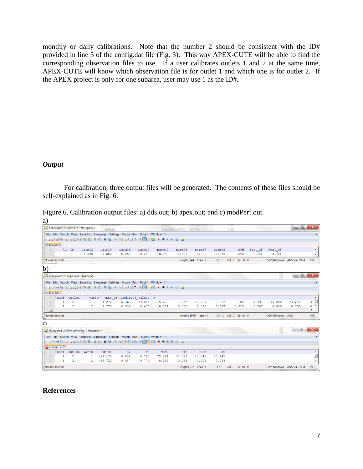monthly or daily calibrations. Note that the number 2 should be consistent with the ID# provided in line 5 of the config.dat file (Fig. 3). This way APEX-CUTE will be able to find the corresponding observation files to use. If a user calibrates outlets 1 and 2 at the same time, APEX-CUTE will know which observation file is for outlet 1 and which one is for outlet 2. If the APEX project is only for one subarea, user may use 1 as the ID#.

# *Output*

For calibration, three output files will be generated. The contents of these files should be self-explained as in Fig. 6.

|  |  | Figure 6. Calibration output files: a) dds.out; b) apex.out; and c) modPerf.out. |
|--|--|----------------------------------------------------------------------------------|
|  |  |                                                                                  |

| a)                      |                  |                |                                        |                                                                             |                |                             |             |                      |                       |        |                            |         |                  |                           |                          |
|-------------------------|------------------|----------------|----------------------------------------|-----------------------------------------------------------------------------|----------------|-----------------------------|-------------|----------------------|-----------------------|--------|----------------------------|---------|------------------|---------------------------|--------------------------|
|                         |                  |                | E:\apexcal\DDS\dds.out - Notepad++     |                                                                             |                |                             |             | <b>START CONTROL</b> | <b>SERVICE</b>        |        | 1.48                       |         |                  | $\Box$                    | $\mathbf{x}$             |
|                         |                  |                |                                        | File Edit Search View Encoding Language Settings Macro Run Plugins Window ? |                |                             |             |                      |                       |        |                            |         |                  |                           | $\mathsf{x}$             |
|                         |                  |                |                                        |                                                                             |                |                             |             |                      |                       |        |                            |         |                  |                           |                          |
| dds.out E3              |                  |                |                                        |                                                                             |                |                             |             |                      |                       |        |                            |         |                  |                           |                          |
| $\mathbf{1}$            |                  | Run ID         | parm12                                 | parm18                                                                      | parm19         | parm20                      | parm40      | parm46               | parm47                | parm92 | APM                        | Test OF | Best OF          |                           | $\blacktriangle$         |
| 2                       |                  | 1              | 1,500                                  | 1,500                                                                       | 0.050          | 0.200                       | 0.050       | 0.500                | 1,000                 | 1,000  | 0.990                      | 3.744   | 3.744            |                           | $\overline{\phantom{a}}$ |
|                         | Normal text file |                |                                        |                                                                             |                |                             |             |                      | length: 244 lines: 3  |        | Ln:1 Col:1 Sel:0 0         |         |                  | Dos\Windows ANSI as UTF-8 | <b>INS</b>               |
| b)                      |                  |                |                                        |                                                                             |                |                             |             |                      |                       |        |                            |         |                  |                           |                          |
|                         |                  |                | E:\apexcal\DDS\apex.out - Notepad++    |                                                                             |                |                             |             |                      |                       |        |                            |         |                  | $\Box$ $\Box$             | $\mathbf{x}$             |
|                         |                  |                |                                        | File Edit Search View Encoding Language Settings Macro Run Plugins Window ? |                |                             |             |                      |                       |        |                            |         |                  |                           | $\mathsf{x}$             |
|                         |                  |                |                                        |                                                                             |                |                             |             |                      |                       |        |                            |         |                  |                           |                          |
| apex.out E3             |                  |                |                                        |                                                                             |                |                             |             |                      |                       |        |                            |         |                  |                           |                          |
|                         | Run#             | Outlet         | VarID                                  |                                                                             |                | TEST OF Predicted values--> |             |                      |                       |        |                            |         |                  |                           | $\blacktriangle$         |
| $\overline{2}$          | 1                | $\overline{2}$ | 1                                      | 4.272                                                                       | 0.363          | 74.024                      | 45.278      | 1.266                | 12.781                | 9.392  | 2.105                      | 7.691   | 14.866           | 64.209                    | 3.                       |
| 3<br>$\leftarrow$ [III] | $\mathbf{1}$     | $\overline{c}$ | $\overline{c}$                         | 3.272                                                                       | 0.000          | 0.455                       | 0.084       | 0.000                | 0.080                 | 0.097  | 0.023                      | 0.007   | 0.009            | 0.250                     | 0.7<br>b.                |
|                         | Normal text file |                |                                        |                                                                             |                |                             |             |                      | length: 1079 lines: 4 |        | Ln:1 Col:1 Sel:0 0         |         | Dos\Windows ANSI |                           | <b>INS</b>               |
| c)                      |                  |                |                                        |                                                                             |                |                             |             |                      |                       |        |                            |         |                  |                           |                          |
|                         |                  |                | E:\apexcal\DDS\modPerf.out - Notepad++ |                                                                             |                |                             |             |                      |                       |        |                            |         |                  | $\Box$ $\Box$             | $\mathbf x$              |
|                         |                  |                |                                        | File Edit Search View Encoding Language Settings Macro Run Plugins Window ? |                |                             |             |                      |                       |        |                            |         |                  |                           | $\mathsf{x}$             |
|                         |                  |                |                                        | 8 8 8 8 8 6 8 4 6 6 7 6 6 7 8 9 8 8 8 8 7 F 8 8 8 8 8 8                     |                |                             |             |                      |                       |        |                            |         |                  |                           |                          |
|                         | modPerf.out E3   |                |                                        |                                                                             |                |                             |             |                      |                       |        |                            |         |                  |                           |                          |
|                         | Run#             | Outlet VarID   |                                        | RE(%)                                                                       | R <sub>2</sub> | $_{\rm NS}$                 | <b>MEAN</b> | STD                  | <b>RMSE</b>           | AD     |                            |         |                  |                           | $\blacktriangle$         |
| $\overline{2}$          |                  | $\overline{2}$ | 1                                      | $-13.152$                                                                   | 0.824          | 0.785                       | 22.264      | 37.783               | 17.640                | 10.245 |                            |         |                  |                           | E                        |
| 3                       | 1                | $\overline{2}$ | $\overline{2}$                         | $-19.723$                                                                   | 0.887          | 0.774                       | 0.112       | 0.254                | 0.201                 | 0.083  |                            |         |                  |                           | $\overline{\nabla}$      |
| Normal text file        |                  |                |                                        |                                                                             |                |                             |             |                      | length: 276 lines: 4  |        | $Ln:1$ Col: $1$ Sel: $0 0$ |         |                  | Dos\Windows ANSI as UTF-8 | <b>INS</b>               |

### **References**